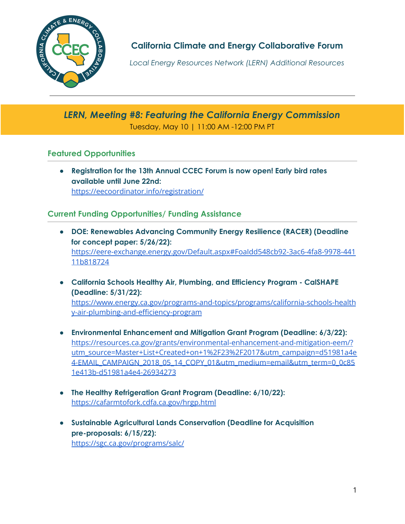

**California Climate and Energy Collaborative Forum**

*Local Energy Resources Network (LERN) Additional Resources*

# *LERN, Meeting #8: Featuring the California Energy Commission* Tuesday, May 10 | 11:00 AM -12:00 PM PT

## **Featured Opportunities**

● **Registration for the 13th Annual CCEC Forum is now open! Early bird rates available until June 22nd:** <https://eecoordinator.info/registration/>

## **Current Funding Opportunities/ Funding Assistance**

- **● DOE: [Renewables](https://eere-exchange.energy.gov/Default.aspx#FoaIdd548cb92-3ac6-4fa8-9978-44111b818724) Advancing Community Energy Resilience (RACER) (Deadline for concept paper: 5/26/22):** [https://eere-exchange.energy.gov/Default.aspx#FoaIdd548cb92-3ac6-4fa8-9978-441](https://eere-exchange.energy.gov/Default.aspx#FoaIdd548cb92-3ac6-4fa8-9978-44111b818724) [11b818724](https://eere-exchange.energy.gov/Default.aspx#FoaIdd548cb92-3ac6-4fa8-9978-44111b818724)
- **● California Schools Healthy Air, Plumbing, and Efficiency Program - CalSHAPE (Deadline: 5/31/22):** [https://www.energy.ca.gov/programs-and-topics/programs/california-schools-health](https://www.energy.ca.gov/programs-and-topics/programs/california-schools-healthy-air-plumbing-and-efficiency-program) [y-air-plumbing-and-efficiency-program](https://www.energy.ca.gov/programs-and-topics/programs/california-schools-healthy-air-plumbing-and-efficiency-program)
- **● Environmental Enhancement and Mitigation Grant Program (Deadline: 6/3/22):** [https://resources.ca.gov/grants/environmental-enhancement-and-mitigation-eem/?](https://resources.ca.gov/grants/environmental-enhancement-and-mitigation-eem/?utm_source=Master+List+Created+on+1%2F23%2F2017&utm_campaign=d51981a4e4-EMAIL_CAMPAIGN_2018_05_14_COPY_01&utm_medium=email&utm_term=0_0c851e413b-d51981a4e4-26934273) [utm\\_source=Master+List+Created+on+1%2F23%2F2017&utm\\_campaign=d51981a4e](https://resources.ca.gov/grants/environmental-enhancement-and-mitigation-eem/?utm_source=Master+List+Created+on+1%2F23%2F2017&utm_campaign=d51981a4e4-EMAIL_CAMPAIGN_2018_05_14_COPY_01&utm_medium=email&utm_term=0_0c851e413b-d51981a4e4-26934273) [4-EMAIL\\_CAMPAIGN\\_2018\\_05\\_14\\_COPY\\_01&utm\\_medium=email&utm\\_term=0\\_0c85](https://resources.ca.gov/grants/environmental-enhancement-and-mitigation-eem/?utm_source=Master+List+Created+on+1%2F23%2F2017&utm_campaign=d51981a4e4-EMAIL_CAMPAIGN_2018_05_14_COPY_01&utm_medium=email&utm_term=0_0c851e413b-d51981a4e4-26934273) [1e413b-d51981a4e4-26934273](https://resources.ca.gov/grants/environmental-enhancement-and-mitigation-eem/?utm_source=Master+List+Created+on+1%2F23%2F2017&utm_campaign=d51981a4e4-EMAIL_CAMPAIGN_2018_05_14_COPY_01&utm_medium=email&utm_term=0_0c851e413b-d51981a4e4-26934273)
- **The Healthy Refrigeration Grant Program (Deadline: 6/10/22):** <https://cafarmtofork.cdfa.ca.gov/hrgp.html>
- **● Sustainable Agricultural Lands Conservation (Deadline for Acquisition pre-proposals: 6/15/22):** <https://sgc.ca.gov/programs/salc/>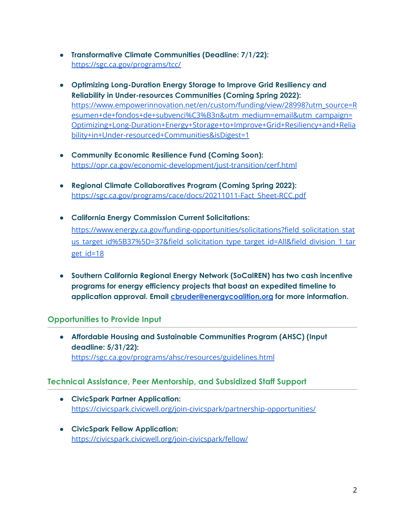- **● Transformative Climate Communities (Deadline: 7/1/22):** <https://sgc.ca.gov/programs/tcc/>
- **● Optimizing Long-Duration Energy Storage to Improve Grid Resiliency and Reliability in Under-resources Communities (Coming Spring 2022):** [https://www.empowerinnovation.net/en/custom/funding/view/28998?utm\\_source=R](https://www.empowerinnovation.net/en/custom/funding/view/28998?utm_source=Resumen+de+fondos+de+subvenci%C3%B3n&utm_medium=email&utm_campaign=Optimizing+Long-Duration+Energy+Storage+to+Improve+Grid+Resiliency+and+Reliability+in+Under-resourced+Communities&isDigest=1) [esumen+de+fondos+de+subvenci%C3%B3n&utm\\_medium=email&utm\\_campaign=](https://www.empowerinnovation.net/en/custom/funding/view/28998?utm_source=Resumen+de+fondos+de+subvenci%C3%B3n&utm_medium=email&utm_campaign=Optimizing+Long-Duration+Energy+Storage+to+Improve+Grid+Resiliency+and+Reliability+in+Under-resourced+Communities&isDigest=1) [Optimizing+Long-Duration+Energy+Storage+to+Improve+Grid+Resiliency+and+Relia](https://www.empowerinnovation.net/en/custom/funding/view/28998?utm_source=Resumen+de+fondos+de+subvenci%C3%B3n&utm_medium=email&utm_campaign=Optimizing+Long-Duration+Energy+Storage+to+Improve+Grid+Resiliency+and+Reliability+in+Under-resourced+Communities&isDigest=1) [bility+in+Under-resourced+Communities&isDigest=1](https://www.empowerinnovation.net/en/custom/funding/view/28998?utm_source=Resumen+de+fondos+de+subvenci%C3%B3n&utm_medium=email&utm_campaign=Optimizing+Long-Duration+Energy+Storage+to+Improve+Grid+Resiliency+and+Reliability+in+Under-resourced+Communities&isDigest=1)
- **● Community Economic Resilience Fund (Coming Soon):** <https://opr.ca.gov/economic-development/just-transition/cerf.html>
- **● Regional Climate Collaboratives Program (Coming Spring 2022):** [https://sgc.ca.gov/programs/cace/docs/20211011-Fact\\_Sheet-RCC.pdf](https://sgc.ca.gov/programs/cace/docs/20211011-Fact_Sheet-RCC.pdf)
- **● California Energy Commission Current Solicitations:** [https://www.energy.ca.gov/funding-opportunities/solicitations?field\\_solicitation\\_stat](https://www.energy.ca.gov/funding-opportunities/solicitations?field_solicitation_status_target_id%5B37%5D=37&field_solicitation_type_target_id=All&field_division_1_target_id=18) us target id%5B37%5D=37&field solicitation type target id=All&field division 1 tar [get\\_id=18](https://www.energy.ca.gov/funding-opportunities/solicitations?field_solicitation_status_target_id%5B37%5D=37&field_solicitation_type_target_id=All&field_division_1_target_id=18)
- **● Southern California Regional Energy Network (SoCalREN) has two cash incentive programs for energy efficiency projects that boast an expedited timeline to application approval. Email [cbruder@energycoalition.org](mailto:cbruder@energycoalition.org) for more information.**

### **Opportunities to Provide Input**

**● Affordable Housing and Sustainable Communities Program (AHSC) (Input deadline: 5/31/22):** <https://sgc.ca.gov/programs/ahsc/resources/guidelines.html>

### **Technical Assistance, Peer Mentorship, and Subsidized Staff Support**

- **CivicSpark Partner Application:** <https://civicspark.civicwell.org/join-civicspark/partnership-opportunities/>
- **● CivicSpark Fellow Application:** <https://civicspark.civicwell.org/join-civicspark/fellow/>